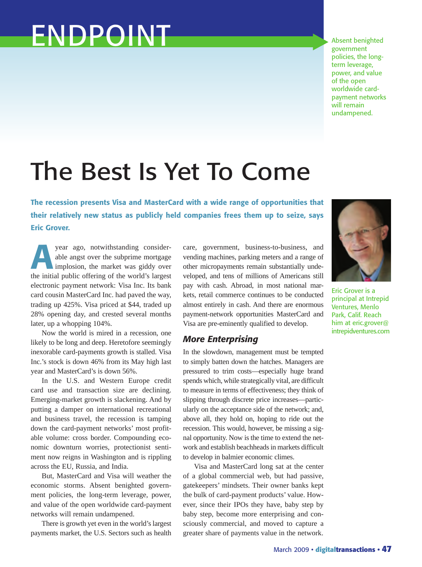## ENDPOINT

Absent benighted government policies, the longterm leverage, power, and value of the open worldwide cardpayment networks will remain undampened.

## The Best Is Yet To Come

**The recession presents Visa and MasterCard with a wide range of opportunities that their relatively new status as publicly held companies frees them up to seize, says Eric Grover.**

**A** *s* year ago, notwithstanding considerable angst over the subprime mortgage implosion, the market was giddy over the initial nublic offering of the world's largest able angst over the subprime mortgage implosion, the market was giddy over the initial public offering of the world's largest electronic payment network: Visa Inc. Its bank card cousin MasterCard Inc. had paved the way, trading up 425%. Visa priced at \$44, traded up 28% opening day, and crested several months later, up a whopping 104%.

Now the world is mired in a recession, one likely to be long and deep. Heretofore seemingly inexorable card-payments growth is stalled. Visa Inc.'s stock is down 46% from its May high last year and MasterCard's is down 56%.

In the U.S. and Western Europe credit card use and transaction size are declining. Emerging-market growth is slackening. And by putting a damper on international recreational and business travel, the recession is tamping down the card-payment networks' most profitable volume: cross border. Compounding economic downturn worries, protectionist sentiment now reigns in Washington and is rippling across the EU, Russia, and India.

But, MasterCard and Visa will weather the economic storms. Absent benighted government policies, the long-term leverage, power, and value of the open worldwide card-payment networks will remain undampened.

There is growth yet even in the world's largest payments market, the U.S. Sectors such as health care, government, business-to-business, and vending machines, parking meters and a range of other micropayments remain substantially undeveloped, and tens of millions of Americans still pay with cash. Abroad, in most national markets, retail commerce continues to be conducted almost entirely in cash. And there are enormous payment-network opportunities MasterCard and Visa are pre-eminently qualified to develop.

## *More Enterprising*

In the slowdown, management must be tempted to simply batten down the hatches. Managers are pressured to trim costs—especially huge brand spends which, while strategically vital, are difficult to measure in terms of effectiveness; they think of slipping through discrete price increases—particularly on the acceptance side of the network; and, above all, they hold on, hoping to ride out the recession. This would, however, be missing a signal opportunity. Now is the time to extend the network and establish beachheads in markets difficult to develop in balmier economic climes.

Visa and MasterCard long sat at the center of a global commercial web, but had passive, gatekeepers' mindsets. Their owner banks kept the bulk of card-payment products' value. However, since their IPOs they have, baby step by baby step, become more enterprising and consciously commercial, and moved to capture a greater share of payments value in the network.



Eric Grover is a principal at Intrepid Ventures, Menlo Park, Calif. Reach him at eric.grover@ intrepidventures.com